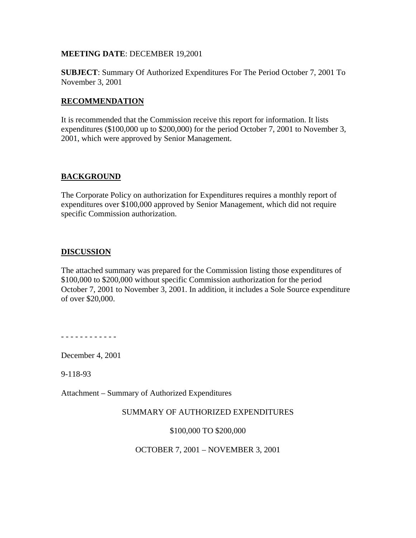## **MEETING DATE**: DECEMBER 19,2001

**SUBJECT**: Summary Of Authorized Expenditures For The Period October 7, 2001 To November 3, 2001

## **RECOMMENDATION**

It is recommended that the Commission receive this report for information. It lists expenditures (\$100,000 up to \$200,000) for the period October 7, 2001 to November 3, 2001, which were approved by Senior Management.

# **BACKGROUND**

The Corporate Policy on authorization for Expenditures requires a monthly report of expenditures over \$100,000 approved by Senior Management, which did not require specific Commission authorization.

# **DISCUSSION**

The attached summary was prepared for the Commission listing those expenditures of \$100,000 to \$200,000 without specific Commission authorization for the period October 7, 2001 to November 3, 2001. In addition, it includes a Sole Source expenditure of over \$20,000.

- - - - - - - - - - - -

December 4, 2001

9-118-93

Attachment – Summary of Authorized Expenditures

## SUMMARY OF AUTHORIZED EXPENDITURES

\$100,000 TO \$200,000

## OCTOBER 7, 2001 – NOVEMBER 3, 2001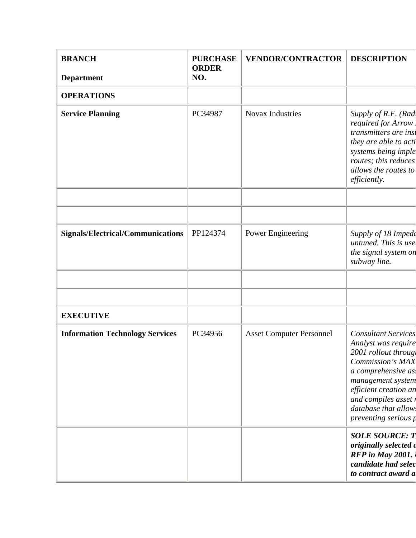| <b>BRANCH</b>                            | <b>PURCHASE</b><br><b>ORDER</b> | <b>VENDOR/CONTRACTOR</b>        | <b>DESCRIPTION</b>                                                                                                                                                                                                                                |  |
|------------------------------------------|---------------------------------|---------------------------------|---------------------------------------------------------------------------------------------------------------------------------------------------------------------------------------------------------------------------------------------------|--|
| <b>Department</b>                        | NO.                             |                                 |                                                                                                                                                                                                                                                   |  |
| <b>OPERATIONS</b>                        |                                 |                                 |                                                                                                                                                                                                                                                   |  |
| <b>Service Planning</b>                  | PC34987                         | <b>Novax Industries</b>         | Supply of R.F. (Rad<br>required for Arrow.<br>transmitters are inst<br>they are able to acti<br>systems being imple<br>routes; this reduces<br>allows the routes to<br>efficiently.                                                               |  |
|                                          |                                 |                                 |                                                                                                                                                                                                                                                   |  |
|                                          |                                 |                                 |                                                                                                                                                                                                                                                   |  |
| <b>Signals/Electrical/Communications</b> | PP124374                        | Power Engineering               | Supply of 18 Impede<br>untuned. This is use<br>the signal system on<br>subway line.                                                                                                                                                               |  |
|                                          |                                 |                                 |                                                                                                                                                                                                                                                   |  |
|                                          |                                 |                                 |                                                                                                                                                                                                                                                   |  |
| <b>EXECUTIVE</b>                         |                                 |                                 |                                                                                                                                                                                                                                                   |  |
| <b>Information Technology Services</b>   | PC34956                         | <b>Asset Computer Personnel</b> | <b>Consultant Services</b><br>Analyst was require<br>2001 rollout through<br><b>Commission's MAX</b><br>a comprehensive as.<br>management system<br>efficient creation an<br>and compiles asset r<br>database that allow.<br>preventing serious p |  |
|                                          |                                 |                                 | <b>SOLE SOURCE: T</b><br>originally selected a<br>RFP in May 2001.<br>candidate had selec<br>to contract award a                                                                                                                                  |  |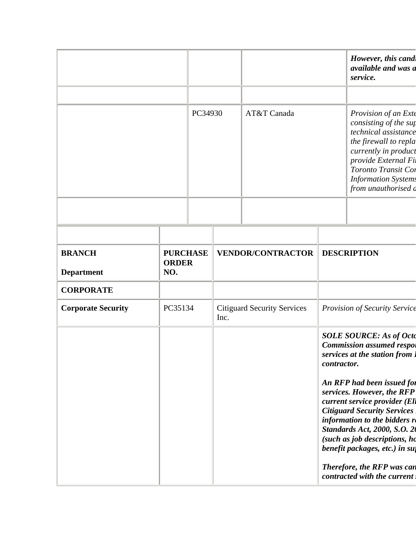|                                    |         |                                 |                                            |                          |                               | However, this cand<br>available and was a<br>service.                                                                                                                                                                                                                                                                                                                                             |  |
|------------------------------------|---------|---------------------------------|--------------------------------------------|--------------------------|-------------------------------|---------------------------------------------------------------------------------------------------------------------------------------------------------------------------------------------------------------------------------------------------------------------------------------------------------------------------------------------------------------------------------------------------|--|
|                                    |         | PC34930                         |                                            | AT&T Canada              |                               | Provision of an Exte<br>consisting of the sup<br>technical assistance<br>the firewall to repla<br>currently in product<br>provide External Fi.<br>Toronto Transit Cor<br><b>Information Systems</b><br>from unauthorised a                                                                                                                                                                        |  |
|                                    |         |                                 |                                            |                          |                               |                                                                                                                                                                                                                                                                                                                                                                                                   |  |
| <b>BRANCH</b><br><b>Department</b> | NO.     | <b>PURCHASE</b><br><b>ORDER</b> |                                            | <b>VENDOR/CONTRACTOR</b> |                               | <b>DESCRIPTION</b>                                                                                                                                                                                                                                                                                                                                                                                |  |
| <b>CORPORATE</b>                   |         |                                 |                                            |                          |                               |                                                                                                                                                                                                                                                                                                                                                                                                   |  |
| <b>Corporate Security</b>          | PC35134 |                                 | <b>Citiguard Security Services</b><br>Inc. |                          | Provision of Security Service |                                                                                                                                                                                                                                                                                                                                                                                                   |  |
|                                    |         |                                 |                                            |                          |                               | <b>SOLE SOURCE: As of Octo</b><br><b>Commission assumed respoi</b><br>services at the station from 1<br>contractor.<br>An RFP had been issued for<br>services. However, the RFP<br>current service provider (Ell<br><b>Citiguard Security Services</b><br>information to the bidders re<br><b>Standards Act, 2000, S.O. 20</b><br>(such as job descriptions, ho<br>benefit packages, etc.) in suj |  |
|                                    |         |                                 |                                            |                          |                               |                                                                                                                                                                                                                                                                                                                                                                                                   |  |
|                                    |         |                                 |                                            |                          |                               | Therefore, the RFP was can<br>contracted with the current                                                                                                                                                                                                                                                                                                                                         |  |